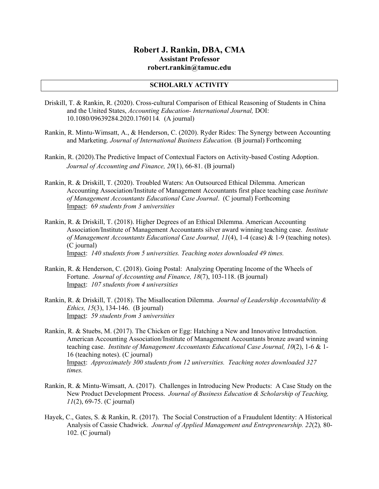# **Robert J. Rankin, DBA, CMA Assistant Professor robert.rankin@tamuc.edu**

## **SCHOLARLY ACTIVITY**

- Driskill, T. & Rankin, R. (2020). Cross-cultural Comparison of Ethical Reasoning of Students in China and the United States, *Accounting Education- International Journal,* DOI: 10.1080/09639284.2020.1760114*.* (A journal)
- Rankin, R. Mintu-Wimsatt, A., & Henderson, C. (2020). Ryder Rides: The Synergy between Accounting and Marketing. *Journal of International Business Education.* (B journal) Forthcoming
- Rankin, R. (2020).The Predictive Impact of Contextual Factors on Activity-based Costing Adoption. *Journal of Accounting and Finance, 20*(1), 66-81. (B journal)
- Rankin, R. & Driskill, T. (2020). Troubled Waters: An Outsourced Ethical Dilemma. American Accounting Association/Institute of Management Accountants first place teaching case *Institute of Management Accountants Educational Case Journal*. (C journal) Forthcoming Impact: 6*9 students from 3 universities*
- Rankin, R. & Driskill, T. (2018). Higher Degrees of an Ethical Dilemma. American Accounting Association/Institute of Management Accountants silver award winning teaching case. *Institute of Management Accountants Educational Case Journal, 11*(4), 1-4 (case) & 1-9 (teaching notes). (C journal) Impact: *140 students from 5 universities. Teaching notes downloaded 49 times.*
- Rankin, R. & Henderson, C. (2018). Going Postal: Analyzing Operating Income of the Wheels of Fortune. *Journal of Accounting and Finance, 18*(7), 103-118. (B journal) Impact: *107 students from 4 universities*
- Rankin, R. & Driskill, T. (2018). The Misallocation Dilemma. *Journal of Leadership Accountability & Ethics, 15*(3), 134-146. (B journal) Impact: *59 students from 3 universities*
- Rankin, R. & Stuebs, M. (2017). The Chicken or Egg: Hatching a New and Innovative Introduction. American Accounting Association/Institute of Management Accountants bronze award winning teaching case. *Institute of Management Accountants Educational Case Journal, 10*(2), 1-6 & 1- 16 (teaching notes). (C journal) Impact: *Approximately 300 students from 12 universities. Teaching notes downloaded 327 times.*
- Rankin, R. & Mintu-Wimsatt, A. (2017). Challenges in Introducing New Products: A Case Study on the New Product Development Process. *Journal of Business Education & Scholarship of Teaching, 11*(2), 69-75. (C journal)
- Hayek, C., Gates, S. & Rankin, R. (2017). The Social Construction of a Fraudulent Identity: A Historical Analysis of Cassie Chadwick. *Journal of Applied Management and Entrepreneurship. 22*(2)*,* 80- 102. (C journal)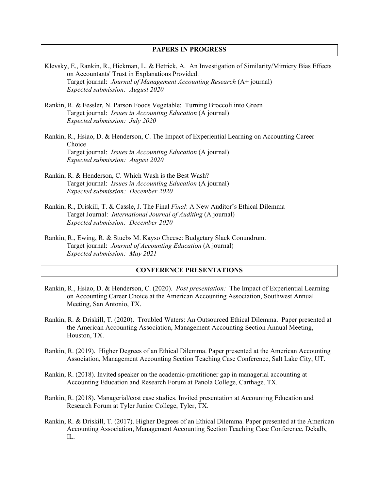#### **PAPERS IN PROGRESS**

- Klevsky, E., Rankin, R., Hickman, L. & Hetrick, A. An Investigation of Similarity/Mimicry Bias Effects on Accountants' Trust in Explanations Provided. Target journal: *Journal of Management Accounting Research* (A+ journal) *Expected submission: August 2020*
- Rankin, R. & Fessler, N. Parson Foods Vegetable: Turning Broccoli into Green Target journal: *Issues in Accounting Education* (A journal) *Expected submission: July 2020*
- Rankin, R., Hsiao, D. & Henderson, C. The Impact of Experiential Learning on Accounting Career Choice Target journal: *Issues in Accounting Education* (A journal) *Expected submission: August 2020*
- Rankin, R. & Henderson, C. Which Wash is the Best Wash? Target journal: *Issues in Accounting Education* (A journal) *Expected submission: December 2020*
- Rankin, R., Driskill, T. & Cassle, J. The Final *Final*: A New Auditor's Ethical Dilemma Target Journal: *International Journal of Auditing* (A journal) *Expected submission: December 2020*
- Rankin, R., Ewing, R. & Stuebs M. Kayso Cheese: Budgetary Slack Conundrum. Target journal: *Journal of Accounting Education* (A journal) *Expected submission: May 2021*

## **CONFERENCE PRESENTATIONS**

- Rankin, R., Hsiao, D. & Henderson, C. (2020). *Post presentation:* The Impact of Experiential Learning on Accounting Career Choice at the American Accounting Association, Southwest Annual Meeting, San Antonio, TX.
- Rankin, R. & Driskill, T. (2020). Troubled Waters: An Outsourced Ethical Dilemma. Paper presented at the American Accounting Association, Management Accounting Section Annual Meeting, Houston, TX.
- Rankin, R. (2019). Higher Degrees of an Ethical Dilemma. Paper presented at the American Accounting Association, Management Accounting Section Teaching Case Conference, Salt Lake City, UT.
- Rankin, R. (2018). Invited speaker on the academic-practitioner gap in managerial accounting at Accounting Education and Research Forum at Panola College, Carthage, TX.
- Rankin, R. (2018). Managerial/cost case studies. Invited presentation at Accounting Education and Research Forum at Tyler Junior College, Tyler, TX.
- Rankin, R. & Driskill, T. (2017). Higher Degrees of an Ethical Dilemma. Paper presented at the American Accounting Association, Management Accounting Section Teaching Case Conference, Dekalb, IL.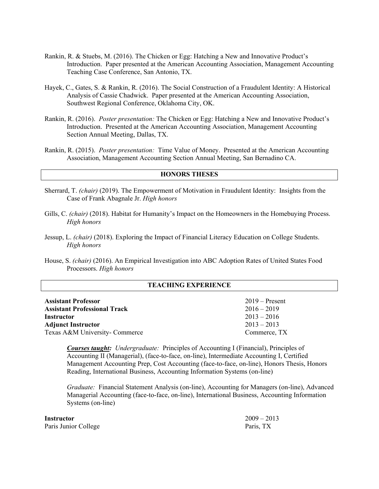- Rankin, R. & Stuebs, M. (2016). The Chicken or Egg: Hatching a New and Innovative Product's Introduction. Paper presented at the American Accounting Association, Management Accounting Teaching Case Conference, San Antonio, TX.
- Hayek, C., Gates, S. & Rankin, R. (2016). The Social Construction of a Fraudulent Identity: A Historical Analysis of Cassie Chadwick. Paper presented at the American Accounting Association, Southwest Regional Conference, Oklahoma City, OK.
- Rankin, R. (2016). *Poster presentation:* The Chicken or Egg: Hatching a New and Innovative Product's Introduction. Presented at the American Accounting Association, Management Accounting Section Annual Meeting, Dallas, TX.
- Rankin, R. (2015). *Poster presentation:* Time Value of Money. Presented at the American Accounting Association, Management Accounting Section Annual Meeting, San Bernadino CA.

#### **HONORS THESES**

- Sherrard, T. *(chair)* (2019). The Empowerment of Motivation in Fraudulent Identity: Insights from the Case of Frank Abagnale Jr. *High honors*
- Gills, C. *(chair)* (2018). Habitat for Humanity's Impact on the Homeowners in the Homebuying Process. *High honors*
- Jessup, L. *(chair)* (2018). Exploring the Impact of Financial Literacy Education on College Students. *High honors*
- House, S. *(chair)* (2016). An Empirical Investigation into ABC Adoption Rates of United States Food Processors. *High honors*

### **TEACHING EXPERIENCE**

| <b>Assistant Professor</b>          | $2019 -$ Present |
|-------------------------------------|------------------|
| <b>Assistant Professional Track</b> | $2016 - 2019$    |
| Instructor                          | $2013 - 2016$    |
| <b>Adjunct Instructor</b>           | $2013 - 2013$    |
| Texas A&M University- Commerce      | Commerce, TX     |

*Courses taught: Undergraduate:* Principles of Accounting I (Financial), Principles of Accounting II (Managerial), (face-to-face, on-line), Intermediate Accounting I, Certified Management Accounting Prep, Cost Accounting (face-to-face, on-line), Honors Thesis, Honors Reading, International Business, Accounting Information Systems (on-line)

*Graduate:* Financial Statement Analysis (on-line), Accounting for Managers (on-line), Advanced Managerial Accounting (face-to-face, on-line), International Business, Accounting Information Systems (on-line)

| Instructor           | $2009 - 2013$ |
|----------------------|---------------|
| Paris Junior College | Paris, TX     |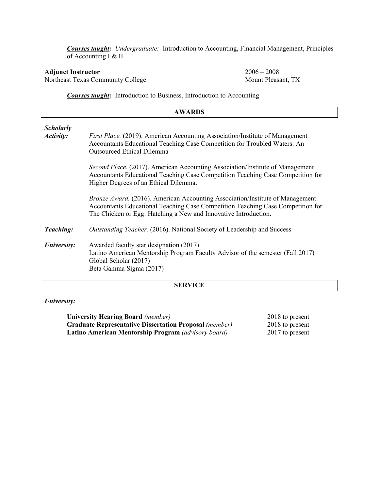*Courses taught: Undergraduate:* Introduction to Accounting, Financial Management, Principles of Accounting I & II

Northeast Texas Community College

**Adjunct Instructor**<br>
2006 – 2008<br>
2006 – 2008<br>
2006 – 2008<br>
2006 – 2008<br>
2006 – 2008

*Courses taught:* Introduction to Business, Introduction to Accounting

| <b>AWARDS</b>    |                                                                                                                                                                                                                                            |  |
|------------------|--------------------------------------------------------------------------------------------------------------------------------------------------------------------------------------------------------------------------------------------|--|
| <b>Scholarly</b> |                                                                                                                                                                                                                                            |  |
| Activity:        | <i>First Place.</i> (2019). American Accounting Association/Institute of Management<br>Accountants Educational Teaching Case Competition for Troubled Waters: An<br><b>Outsourced Ethical Dilemma</b>                                      |  |
|                  | Second Place. (2017). American Accounting Association/Institute of Management<br>Accountants Educational Teaching Case Competition Teaching Case Competition for<br>Higher Degrees of an Ethical Dilemma.                                  |  |
|                  | <i>Bronze Award.</i> (2016). American Accounting Association/Institute of Management<br>Accountants Educational Teaching Case Competition Teaching Case Competition for<br>The Chicken or Egg: Hatching a New and Innovative Introduction. |  |
| <b>Teaching:</b> | Outstanding Teacher. (2016). National Society of Leadership and Success                                                                                                                                                                    |  |
| University:      | Awarded faculty star designation (2017)<br>Latino American Mentorship Program Faculty Advisor of the semester (Fall 2017)<br>Global Scholar (2017)<br>Beta Gamma Sigma (2017)                                                              |  |
|                  | <b>CEDVIOR</b>                                                                                                                                                                                                                             |  |

#### **SERVICE**

*University:*

| <b>University Hearing Board</b> (member)                      | 2018 to present |
|---------------------------------------------------------------|-----------------|
| <b>Graduate Representative Dissertation Proposal (member)</b> | 2018 to present |
| <b>Latino American Mentorship Program</b> (advisory board)    | 2017 to present |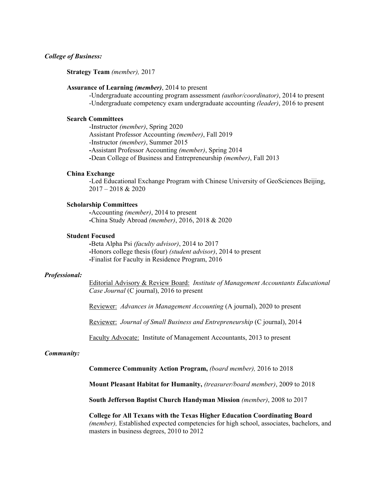#### *College of Business:*

**Strategy Team** *(member),* 2017

#### **Assurance of Learning** *(member)*, 2014 to present

-Undergraduate accounting program assessment *(author/coordinator)*, 2014 to present -Undergraduate competency exam undergraduate accounting *(leader)*, 2016 to present

#### **Search Committees**

-Instructor *(member)*, Spring 2020 Assistant Professor Accounting *(member)*, Fall 2019 -Instructor *(member)*, Summer 2015 **-**Assistant Professor Accounting *(member)*, Spring 2014 **-**Dean College of Business and Entrepreneurship *(member)*, Fall 2013

#### **China Exchange**

-Led Educational Exchange Program with Chinese University of GeoSciences Beijing, 2017 – 2018 & 2020

#### **Scholarship Committees**

**-**Accounting *(member)*, 2014 to present **-**China Study Abroad *(member)*, 2016, 2018 & 2020

#### **Student Focused**

**-**Beta Alpha Psi *(faculty advisor)*, 2014 to 2017 **-**Honors college thesis (four) *(student advisor)*, 2014 to present **-**Finalist for Faculty in Residence Program, 2016

#### *Professional:*

Editorial Advisory & Review Board: *Institute of Management Accountants Educational Case Journal* (C journal), 2016 to present

Reviewer: *Advances in Management Accounting* (A journal), 2020 to present

Reviewer: *Journal of Small Business and Entrepreneurship* (C journal), 2014

Faculty Advocate: Institute of Management Accountants, 2013 to present

#### *Community:*

**Commerce Community Action Program,** *(board member),* 2016 to 2018

**Mount Pleasant Habitat for Humanity,** *(treasurer/board member)*, 2009 to 2018

**South Jefferson Baptist Church Handyman Mission** *(member)*, 2008 to 2017

**College for All Texans with the Texas Higher Education Coordinating Board**  *(member),* Established expected competencies for high school, associates, bachelors, and masters in business degrees, 2010 to 2012